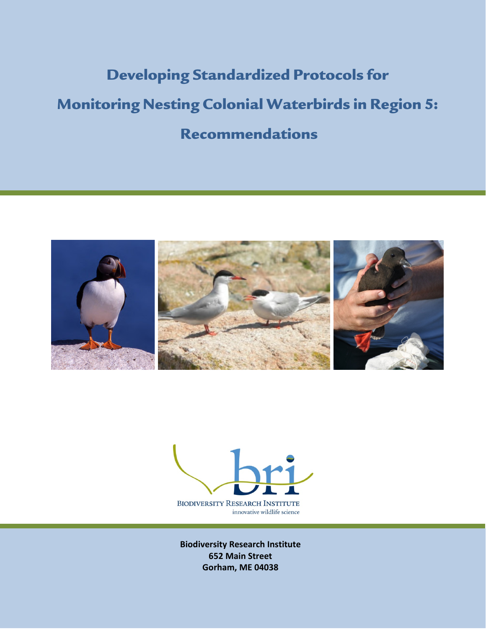# Developing Standardized Protocols for Monitoring Nesting Colonial Waterbirds in Region 5: Recommendations





Marine Bird Program Strategic Plan 652 Main Street Biodiversity Research Institute Gorham, ME 04038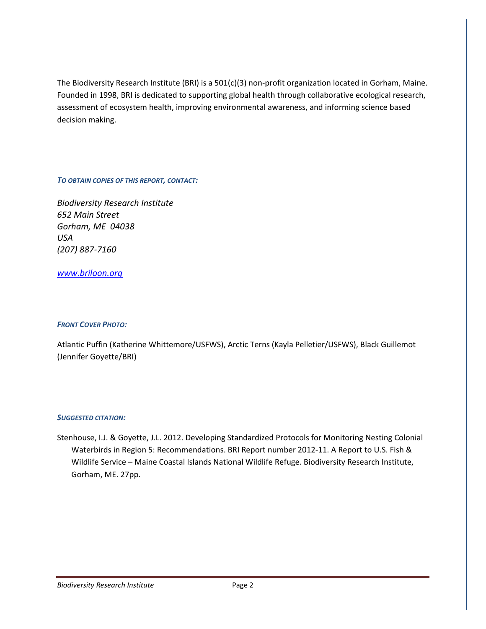The Biodiversity Research Institute (BRI) is a 501(c)(3) non-profit organization located in Gorham, Maine. Founded in 1998, BRI is dedicated to supporting global health through collaborative ecological research, assessment of ecosystem health, improving environmental awareness, and informing science based decision making.

#### TO OBTAIN COPIES OF THIS REPORT, CONTACT:

Biodiversity Research Institute 652 Main Street Gorham, ME 04038 USA (207) 887-7160

## www.briloon.org

## FRONT COVER PHOTO:

Atlantic Puffin (Katherine Whittemore/USFWS), Arctic Terns (Kayla Pelletier/USFWS), Black Guillemot (Jennifer Goyette/BRI)

#### SUGGESTED CITATION:

Stenhouse, I.J. & Goyette, J.L. 2012. Developing Standardized Protocols for Monitoring Nesting Colonial Waterbirds in Region 5: Recommendations. BRI Report number 2012-11. A Report to U.S. Fish & Wildlife Service – Maine Coastal Islands National Wildlife Refuge. Biodiversity Research Institute, Gorham, ME. 27pp.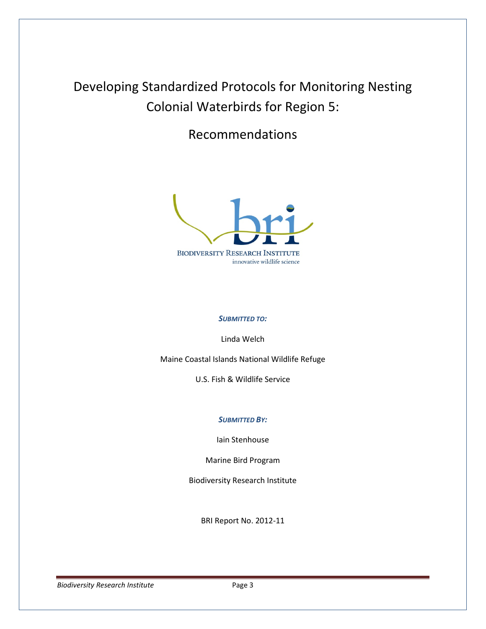# Developing Standardized Protocols for Monitoring Nesting Colonial Waterbirds for Region 5:

Recommendations



## SUBMITTED TO:

Linda Welch

Maine Coastal Islands National Wildlife Refuge

U.S. Fish & Wildlife Service

#### SUBMITTED BY:

Iain Stenhouse

Marine Bird Program

Biodiversity Research Institute

BRI Report No. 2012-11

Biodiversity Research Institute **Page 3** Page 3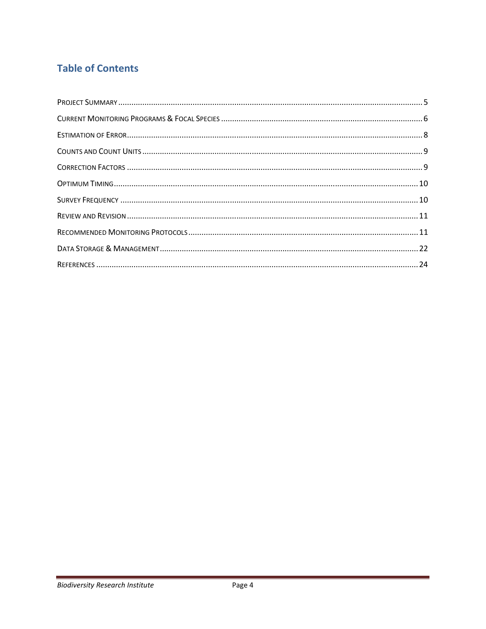# **Table of Contents**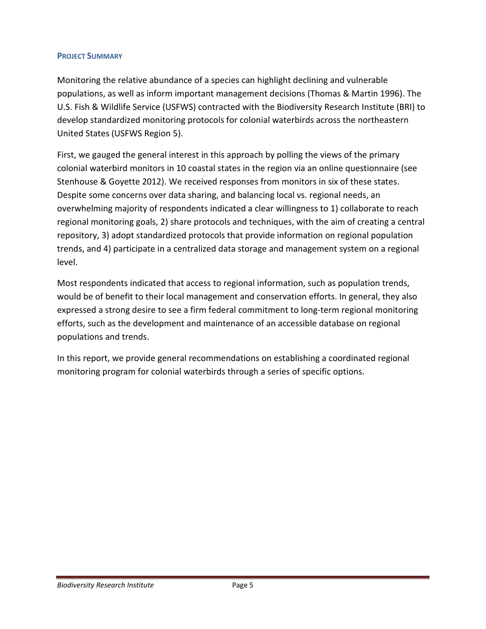# PROJECT SUMMARY

Monitoring the relative abundance of a species can highlight declining and vulnerable populations, as well as inform important management decisions (Thomas & Martin 1996). The U.S. Fish & Wildlife Service (USFWS) contracted with the Biodiversity Research Institute (BRI) to develop standardized monitoring protocols for colonial waterbirds across the northeastern United States (USFWS Region 5).

First, we gauged the general interest in this approach by polling the views of the primary colonial waterbird monitors in 10 coastal states in the region via an online questionnaire (see Stenhouse & Goyette 2012). We received responses from monitors in six of these states. Despite some concerns over data sharing, and balancing local vs. regional needs, an overwhelming majority of respondents indicated a clear willingness to 1) collaborate to reach regional monitoring goals, 2) share protocols and techniques, with the aim of creating a central repository, 3) adopt standardized protocols that provide information on regional population trends, and 4) participate in a centralized data storage and management system on a regional level.

Most respondents indicated that access to regional information, such as population trends, would be of benefit to their local management and conservation efforts. In general, they also expressed a strong desire to see a firm federal commitment to long-term regional monitoring efforts, such as the development and maintenance of an accessible database on regional populations and trends.

In this report, we provide general recommendations on establishing a coordinated regional monitoring program for colonial waterbirds through a series of specific options.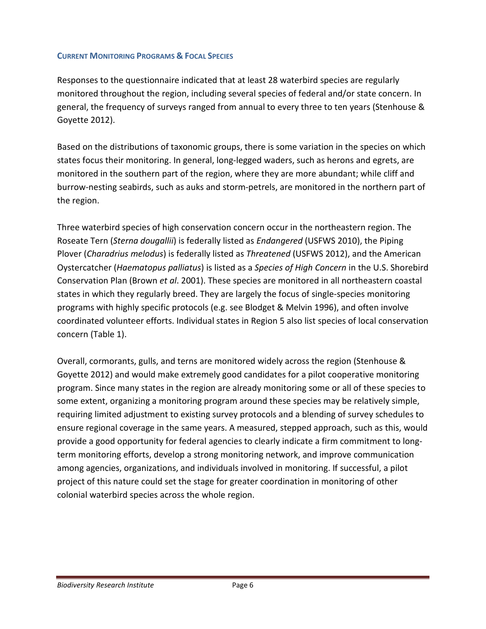# CURRENT MONITORING PROGRAMS & FOCAL SPECIES

Responses to the questionnaire indicated that at least 28 waterbird species are regularly monitored throughout the region, including several species of federal and/or state concern. In general, the frequency of surveys ranged from annual to every three to ten years (Stenhouse & Goyette 2012).

Based on the distributions of taxonomic groups, there is some variation in the species on which states focus their monitoring. In general, long-legged waders, such as herons and egrets, are monitored in the southern part of the region, where they are more abundant; while cliff and burrow-nesting seabirds, such as auks and storm-petrels, are monitored in the northern part of the region.

Three waterbird species of high conservation concern occur in the northeastern region. The Roseate Tern (Sterna dougallii) is federally listed as Endangered (USFWS 2010), the Piping Plover (Charadrius melodus) is federally listed as Threatened (USFWS 2012), and the American Oystercatcher (Haematopus palliatus) is listed as a Species of High Concern in the U.S. Shorebird Conservation Plan (Brown et al. 2001). These species are monitored in all northeastern coastal states in which they regularly breed. They are largely the focus of single-species monitoring programs with highly specific protocols (e.g. see Blodget & Melvin 1996), and often involve coordinated volunteer efforts. Individual states in Region 5 also list species of local conservation concern (Table 1).

Overall, cormorants, gulls, and terns are monitored widely across the region (Stenhouse & Goyette 2012) and would make extremely good candidates for a pilot cooperative monitoring program. Since many states in the region are already monitoring some or all of these species to some extent, organizing a monitoring program around these species may be relatively simple, requiring limited adjustment to existing survey protocols and a blending of survey schedules to ensure regional coverage in the same years. A measured, stepped approach, such as this, would provide a good opportunity for federal agencies to clearly indicate a firm commitment to longterm monitoring efforts, develop a strong monitoring network, and improve communication among agencies, organizations, and individuals involved in monitoring. If successful, a pilot project of this nature could set the stage for greater coordination in monitoring of other colonial waterbird species across the whole region.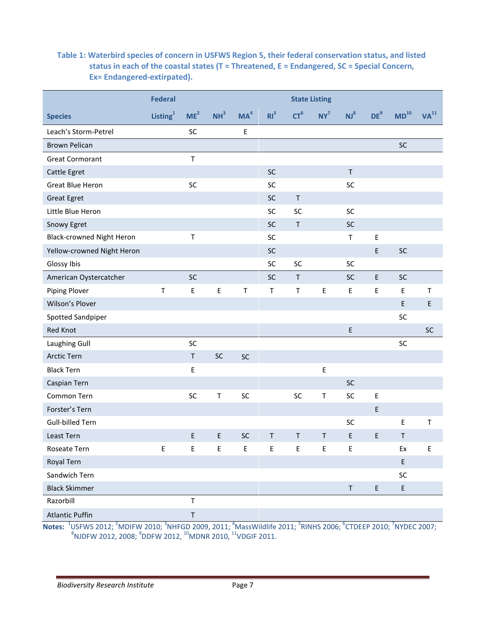# Table 1: Waterbird species of concern in USFWS Region 5, their federal conservation status, and listed status in each of the coastal states (T = Threatened, E = Endangered, SC = Special Concern, Ex= Endangered-extirpated).

|                                  | <b>Federal</b>       | <b>State Listing</b> |                 |                 |                 |                 |         |                 |                 |                  |                  |
|----------------------------------|----------------------|----------------------|-----------------|-----------------|-----------------|-----------------|---------|-----------------|-----------------|------------------|------------------|
| <b>Species</b>                   | Listing <sup>1</sup> | ME <sup>2</sup>      | NH <sup>3</sup> | MA <sup>4</sup> | RI <sup>5</sup> | CT <sup>6</sup> | $NY^7$  | NJ <sup>8</sup> | DE <sup>9</sup> | MD <sup>10</sup> | VA <sup>11</sup> |
| Leach's Storm-Petrel             |                      | SC                   |                 | $\mathsf E$     |                 |                 |         |                 |                 |                  |                  |
| <b>Brown Pelican</b>             |                      |                      |                 |                 |                 |                 |         |                 |                 | SC               |                  |
| <b>Great Cormorant</b>           |                      | $\top$               |                 |                 |                 |                 |         |                 |                 |                  |                  |
| Cattle Egret                     |                      |                      |                 |                 | SC              |                 |         | $\sf T$         |                 |                  |                  |
| <b>Great Blue Heron</b>          |                      | SC                   |                 |                 | SC              |                 |         | SC              |                 |                  |                  |
| <b>Great Egret</b>               |                      |                      |                 |                 | SC              | $\sf T$         |         |                 |                 |                  |                  |
| Little Blue Heron                |                      |                      |                 |                 | SC              | SC              |         | SC              |                 |                  |                  |
| Snowy Egret                      |                      |                      |                 |                 | SC              | $\sf T$         |         | <b>SC</b>       |                 |                  |                  |
| <b>Black-crowned Night Heron</b> |                      | $\mathsf T$          |                 |                 | SC              |                 |         | $\sf T$         | $\mathsf E$     |                  |                  |
| Yellow-crowned Night Heron       |                      |                      |                 |                 | SC              |                 |         |                 | $\mathsf E$     | SC               |                  |
| Glossy Ibis                      |                      |                      |                 |                 | SC              | SC              |         | SC              |                 |                  |                  |
| American Oystercatcher           |                      | SC                   |                 |                 | SC              | T               |         | <b>SC</b>       | $\mathsf E$     | SC               |                  |
| Piping Plover                    | T                    | Ε                    | E               | Т               | T               | $\mathsf T$     | E       | Ε               | E               | E                | Τ                |
| Wilson's Plover                  |                      |                      |                 |                 |                 |                 |         |                 |                 | E                | $\mathsf E$      |
| Spotted Sandpiper                |                      |                      |                 |                 |                 |                 |         |                 |                 | SC               |                  |
| Red Knot                         |                      |                      |                 |                 |                 |                 |         | $\mathsf E$     |                 |                  | SC               |
| Laughing Gull                    |                      | SC                   |                 |                 |                 |                 |         |                 |                 | SC               |                  |
| Arctic Tern                      |                      | $\sf T$              | SC              | SC              |                 |                 |         |                 |                 |                  |                  |
| <b>Black Tern</b>                |                      | E                    |                 |                 |                 |                 | E       |                 |                 |                  |                  |
| Caspian Tern                     |                      |                      |                 |                 |                 |                 |         | SC              |                 |                  |                  |
| Common Tern                      |                      | SC                   | Τ               | SC              |                 | SC              | Т       | SC              | Ε               |                  |                  |
| Forster's Tern                   |                      |                      |                 |                 |                 |                 |         |                 | $\mathsf E$     |                  |                  |
| <b>Gull-billed Tern</b>          |                      |                      |                 |                 |                 |                 |         | SC              |                 | E                | $\sf T$          |
| Least Tern                       |                      | $\mathsf E$          | E               | SC              | T               | $\mathsf T$     | $\sf T$ | E               | E               | Τ                |                  |
| Roseate Tern                     | Ε                    | Ε                    | Е               | E               | Ε               | E               | Ε       | E               |                 | Ex               | Ε                |
| Royal Tern                       |                      |                      |                 |                 |                 |                 |         |                 |                 | E                |                  |
| Sandwich Tern                    |                      |                      |                 |                 |                 |                 |         |                 |                 | SC               |                  |
| <b>Black Skimmer</b>             |                      |                      |                 |                 |                 |                 |         | $\sf T$         | $\sf E$         | E                |                  |
| Razorbill                        |                      | $\sf T$              |                 |                 |                 |                 |         |                 |                 |                  |                  |
| <b>Atlantic Puffin</b>           |                      | $\sf T$              |                 |                 |                 |                 |         |                 |                 |                  |                  |

Notes:  $^{1}$ USFWS 2012; <sup>2</sup>MDIFW 2010; <sup>3</sup>NHFGD 2009, 2011; <sup>4</sup>MassWildlife 2011; <sup>5</sup>RINHS 2006; <sup>6</sup>CTDEEP 2010; <sup>7</sup>NYDEC 2007;<br><sup>8</sup>NJDFW 2012, 2008; <sup>9</sup>DDFW 2012, <sup>10</sup>MDNR 2010, <sup>11</sup>VDGIF 2011.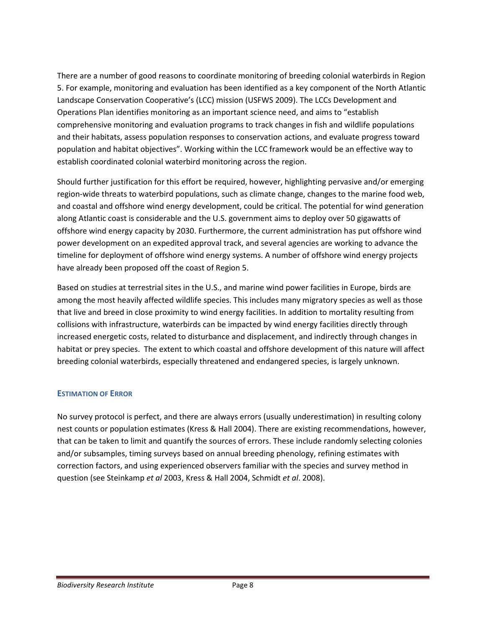There are a number of good reasons to coordinate monitoring of breeding colonial waterbirds in Region 5. For example, monitoring and evaluation has been identified as a key component of the North Atlantic Landscape Conservation Cooperative's (LCC) mission (USFWS 2009). The LCCs Development and Operations Plan identifies monitoring as an important science need, and aims to "establish comprehensive monitoring and evaluation programs to track changes in fish and wildlife populations and their habitats, assess population responses to conservation actions, and evaluate progress toward population and habitat objectives". Working within the LCC framework would be an effective way to establish coordinated colonial waterbird monitoring across the region.

Should further justification for this effort be required, however, highlighting pervasive and/or emerging region-wide threats to waterbird populations, such as climate change, changes to the marine food web, and coastal and offshore wind energy development, could be critical. The potential for wind generation along Atlantic coast is considerable and the U.S. government aims to deploy over 50 gigawatts of offshore wind energy capacity by 2030. Furthermore, the current administration has put offshore wind power development on an expedited approval track, and several agencies are working to advance the timeline for deployment of offshore wind energy systems. A number of offshore wind energy projects have already been proposed off the coast of Region 5.

Based on studies at terrestrial sites in the U.S., and marine wind power facilities in Europe, birds are among the most heavily affected wildlife species. This includes many migratory species as well as those that live and breed in close proximity to wind energy facilities. In addition to mortality resulting from collisions with infrastructure, waterbirds can be impacted by wind energy facilities directly through increased energetic costs, related to disturbance and displacement, and indirectly through changes in habitat or prey species. The extent to which coastal and offshore development of this nature will affect breeding colonial waterbirds, especially threatened and endangered species, is largely unknown.

# ESTIMATION OF ERROR

No survey protocol is perfect, and there are always errors (usually underestimation) in resulting colony nest counts or population estimates (Kress & Hall 2004). There are existing recommendations, however, that can be taken to limit and quantify the sources of errors. These include randomly selecting colonies and/or subsamples, timing surveys based on annual breeding phenology, refining estimates with correction factors, and using experienced observers familiar with the species and survey method in question (see Steinkamp et al 2003, Kress & Hall 2004, Schmidt et al. 2008).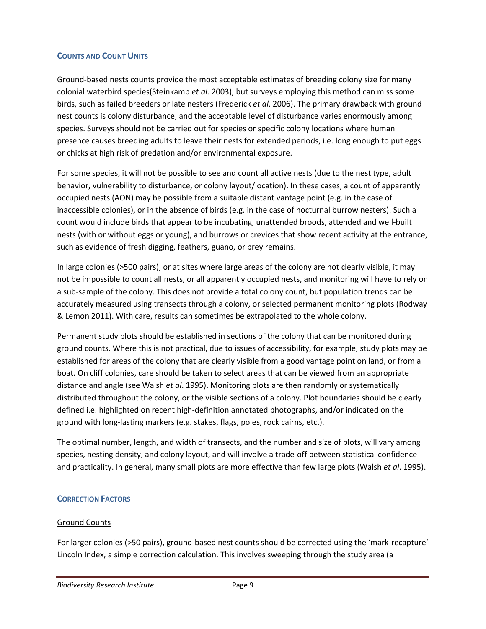## COUNTS AND COUNT UNITS

Ground-based nests counts provide the most acceptable estimates of breeding colony size for many colonial waterbird species(Steinkamp et al. 2003), but surveys employing this method can miss some birds, such as failed breeders or late nesters (Frederick et al. 2006). The primary drawback with ground nest counts is colony disturbance, and the acceptable level of disturbance varies enormously among species. Surveys should not be carried out for species or specific colony locations where human presence causes breeding adults to leave their nests for extended periods, i.e. long enough to put eggs or chicks at high risk of predation and/or environmental exposure.

For some species, it will not be possible to see and count all active nests (due to the nest type, adult behavior, vulnerability to disturbance, or colony layout/location). In these cases, a count of apparently occupied nests (AON) may be possible from a suitable distant vantage point (e.g. in the case of inaccessible colonies), or in the absence of birds (e.g. in the case of nocturnal burrow nesters). Such a count would include birds that appear to be incubating, unattended broods, attended and well-built nests (with or without eggs or young), and burrows or crevices that show recent activity at the entrance, such as evidence of fresh digging, feathers, guano, or prey remains.

In large colonies (>500 pairs), or at sites where large areas of the colony are not clearly visible, it may not be impossible to count all nests, or all apparently occupied nests, and monitoring will have to rely on a sub-sample of the colony. This does not provide a total colony count, but population trends can be accurately measured using transects through a colony, or selected permanent monitoring plots (Rodway & Lemon 2011). With care, results can sometimes be extrapolated to the whole colony.

Permanent study plots should be established in sections of the colony that can be monitored during ground counts. Where this is not practical, due to issues of accessibility, for example, study plots may be established for areas of the colony that are clearly visible from a good vantage point on land, or from a boat. On cliff colonies, care should be taken to select areas that can be viewed from an appropriate distance and angle (see Walsh et al. 1995). Monitoring plots are then randomly or systematically distributed throughout the colony, or the visible sections of a colony. Plot boundaries should be clearly defined i.e. highlighted on recent high-definition annotated photographs, and/or indicated on the ground with long-lasting markers (e.g. stakes, flags, poles, rock cairns, etc.).

The optimal number, length, and width of transects, and the number and size of plots, will vary among species, nesting density, and colony layout, and will involve a trade-off between statistical confidence and practicality. In general, many small plots are more effective than few large plots (Walsh et al. 1995).

# CORRECTION FACTORS

## Ground Counts

For larger colonies (>50 pairs), ground-based nest counts should be corrected using the 'mark-recapture' Lincoln Index, a simple correction calculation. This involves sweeping through the study area (a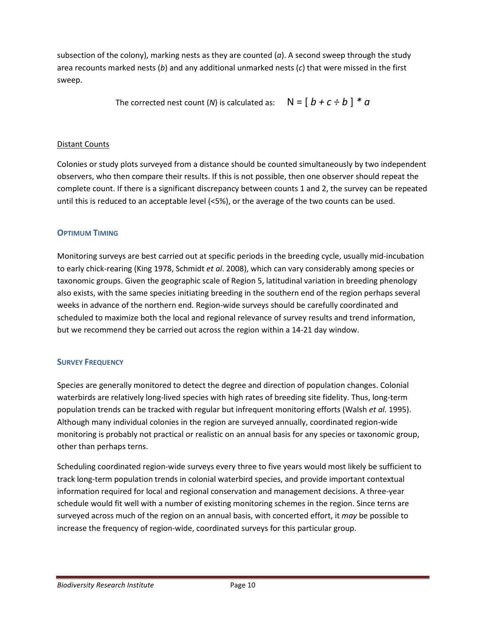subsection of the colony), marking nests as they are counted  $(a)$ . A second sweep through the study area recounts marked nests (b) and any additional unmarked nests (c) that were missed in the first sweep.

The corrected nest count (N) is calculated as:  $N = \int b + c \div b$   $\uparrow$  \* a

# Distant Counts

Colonies or study plots surveyed from a distance should be counted simultaneously by two independent observers, who then compare their results. If this is not possible, then one observer should repeat the complete count. If there is a significant discrepancy between counts 1 and 2, the survey can be repeated until this is reduced to an acceptable level (<5%), or the average of the two counts can be used.

# OPTIMUM TIMING

Monitoring surveys are best carried out at specific periods in the breeding cycle, usually mid-incubation to early chick-rearing (King 1978, Schmidt et al. 2008), which can vary considerably among species or taxonomic groups. Given the geographic scale of Region 5, latitudinal variation in breeding phenology also exists, with the same species initiating breeding in the southern end of the region perhaps several weeks in advance of the northern end. Region-wide surveys should be carefully coordinated and scheduled to maximize both the local and regional relevance of survey results and trend information, but we recommend they be carried out across the region within a 14-21 day window.

# SURVEY FREQUENCY

Species are generally monitored to detect the degree and direction of population changes. Colonial waterbirds are relatively long-lived species with high rates of breeding site fidelity. Thus, long-term population trends can be tracked with regular but infrequent monitoring efforts (Walsh et al. 1995). Although many individual colonies in the region are surveyed annually, coordinated region-wide monitoring is probably not practical or realistic on an annual basis for any species or taxonomic group, other than perhaps terns.

Scheduling coordinated region-wide surveys every three to five years would most likely be sufficient to track long-term population trends in colonial waterbird species, and provide important contextual information required for local and regional conservation and management decisions. A three-year schedule would fit well with a number of existing monitoring schemes in the region. Since terns are surveyed across much of the region on an annual basis, with concerted effort, it may be possible to increase the frequency of region-wide, coordinated surveys for this particular group.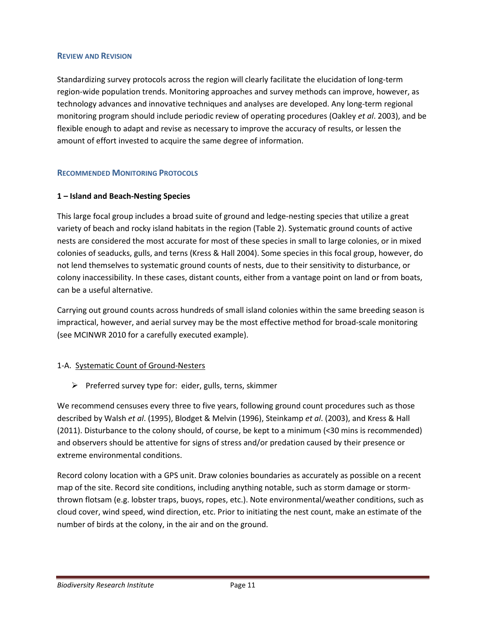#### REVIEW AND REVISION

Standardizing survey protocols across the region will clearly facilitate the elucidation of long-term region-wide population trends. Monitoring approaches and survey methods can improve, however, as technology advances and innovative techniques and analyses are developed. Any long-term regional monitoring program should include periodic review of operating procedures (Oakley et al. 2003), and be flexible enough to adapt and revise as necessary to improve the accuracy of results, or lessen the amount of effort invested to acquire the same degree of information.

# RECOMMENDED MONITORING PROTOCOLS

# 1 – Island and Beach-Nesting Species

This large focal group includes a broad suite of ground and ledge-nesting species that utilize a great variety of beach and rocky island habitats in the region (Table 2). Systematic ground counts of active nests are considered the most accurate for most of these species in small to large colonies, or in mixed colonies of seaducks, gulls, and terns (Kress & Hall 2004). Some species in this focal group, however, do not lend themselves to systematic ground counts of nests, due to their sensitivity to disturbance, or colony inaccessibility. In these cases, distant counts, either from a vantage point on land or from boats, can be a useful alternative.

Carrying out ground counts across hundreds of small island colonies within the same breeding season is impractical, however, and aerial survey may be the most effective method for broad-scale monitoring (see MCINWR 2010 for a carefully executed example).

## 1-A. Systematic Count of Ground-Nesters

 $\triangleright$  Preferred survey type for: eider, gulls, terns, skimmer

We recommend censuses every three to five years, following ground count procedures such as those described by Walsh et al. (1995), Blodget & Melvin (1996), Steinkamp et al. (2003), and Kress & Hall (2011). Disturbance to the colony should, of course, be kept to a minimum (<30 mins is recommended) and observers should be attentive for signs of stress and/or predation caused by their presence or extreme environmental conditions.

Record colony location with a GPS unit. Draw colonies boundaries as accurately as possible on a recent map of the site. Record site conditions, including anything notable, such as storm damage or stormthrown flotsam (e.g. lobster traps, buoys, ropes, etc.). Note environmental/weather conditions, such as cloud cover, wind speed, wind direction, etc. Prior to initiating the nest count, make an estimate of the number of birds at the colony, in the air and on the ground.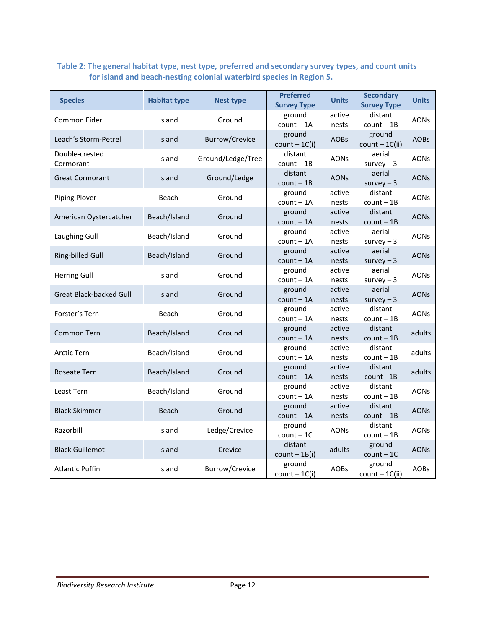# Table 2: The general habitat type, nest type, preferred and secondary survey types, and count units for island and beach-nesting colonial waterbird species in Region 5.

| <b>Species</b>                 | <b>Habitat type</b> | Nest type             | <b>Preferred</b><br><b>Survey Type</b> | <b>Units</b>    | <b>Secondary</b><br><b>Survey Type</b> | <b>Units</b> |
|--------------------------------|---------------------|-----------------------|----------------------------------------|-----------------|----------------------------------------|--------------|
| Common Eider                   | Island              | Ground                | ground<br>$count - 1A$                 | active<br>nests | distant<br>$count - 1B$                | <b>AONs</b>  |
| Leach's Storm-Petrel           | Island              | <b>Burrow/Crevice</b> | ground<br>$count - 1C(i)$              | <b>AOBs</b>     | ground<br>$count - 1C(ii)$             | <b>AOBs</b>  |
| Double-crested<br>Cormorant    | Island              | Ground/Ledge/Tree     | distant<br>$count - 1B$                | AONs            | aerial<br>survey $-3$                  | <b>AONs</b>  |
| <b>Great Cormorant</b>         | Island              | Ground/Ledge          | distant<br>$count - 1B$                | <b>AONs</b>     | aerial<br>$survey - 3$                 | <b>AONs</b>  |
| Piping Plover                  | Beach               | Ground                | ground<br>$count - 1A$                 | active<br>nests | distant<br>$count - 1B$                | <b>AONs</b>  |
| American Oystercatcher         | Beach/Island        | Ground                | ground<br>$count - 1A$                 | active<br>nests | distant<br>$count - 1B$                | <b>AONs</b>  |
| Laughing Gull                  | Beach/Island        | Ground                | ground<br>$count - 1A$                 | active<br>nests | aerial<br>survey $-3$                  | <b>AONs</b>  |
| Ring-billed Gull               | Beach/Island        | Ground                | ground<br>$count - 1A$                 | active<br>nests | aerial<br>survey $-3$                  | <b>AONs</b>  |
| <b>Herring Gull</b>            | Island              | Ground                | ground<br>$count - 1A$                 | active<br>nests | aerial<br>survey $-3$                  | <b>AONs</b>  |
| <b>Great Black-backed Gull</b> | Island              | Ground                | ground<br>$count - 1A$                 | active<br>nests | aerial<br>survey $-3$                  | <b>AONs</b>  |
| Forster's Tern                 | Beach               | Ground                | ground<br>$count - 1A$                 | active<br>nests | distant<br>$count - 1B$                | <b>AONs</b>  |
| Common Tern                    | Beach/Island        | Ground                | ground<br>$count - 1A$                 | active<br>nests | distant<br>$count - 1B$                | adults       |
| <b>Arctic Tern</b>             | Beach/Island        | Ground                | ground<br>$count - 1A$                 | active<br>nests | distant<br>$count - 1B$                | adults       |
| Roseate Tern                   | Beach/Island        | Ground                | ground<br>$count - 1A$                 | active<br>nests | distant<br>count - 1B                  | adults       |
| Least Tern                     | Beach/Island        | Ground                | ground<br>$count - 1A$                 | active<br>nests | distant<br>$count - 1B$                | <b>AONs</b>  |
| <b>Black Skimmer</b>           | Beach               | Ground                | ground<br>$count - 1A$                 | active<br>nests | distant<br>$count - 1B$                | <b>AONs</b>  |
| Razorbill                      | Island              | Ledge/Crevice         | ground<br>$count - 1C$                 | <b>AONs</b>     | distant<br>$count - 1B$                | <b>AONs</b>  |
| <b>Black Guillemot</b>         | Island              | Crevice               | distant<br>$count - 1B(i)$             | adults          | ground<br>$count - 1C$                 | <b>AONs</b>  |
| <b>Atlantic Puffin</b>         | Island              | Burrow/Crevice        | ground<br>$count - 1C(i)$              | <b>AOBs</b>     | ground<br>$count - 1C(ii)$             | <b>AOBs</b>  |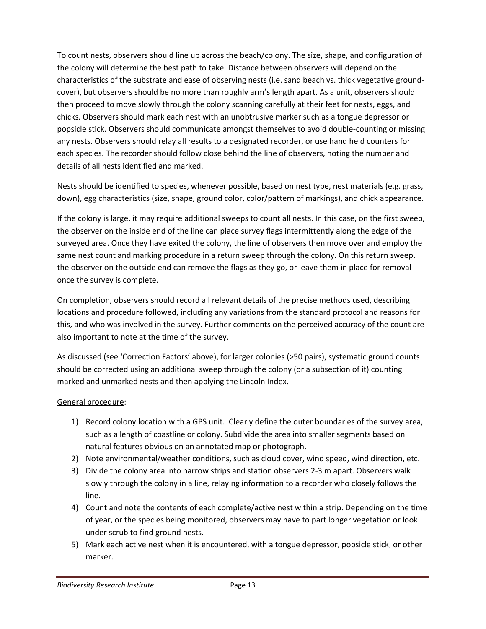To count nests, observers should line up across the beach/colony. The size, shape, and configuration of the colony will determine the best path to take. Distance between observers will depend on the characteristics of the substrate and ease of observing nests (i.e. sand beach vs. thick vegetative groundcover), but observers should be no more than roughly arm's length apart. As a unit, observers should then proceed to move slowly through the colony scanning carefully at their feet for nests, eggs, and chicks. Observers should mark each nest with an unobtrusive marker such as a tongue depressor or popsicle stick. Observers should communicate amongst themselves to avoid double-counting or missing any nests. Observers should relay all results to a designated recorder, or use hand held counters for each species. The recorder should follow close behind the line of observers, noting the number and details of all nests identified and marked.

Nests should be identified to species, whenever possible, based on nest type, nest materials (e.g. grass, down), egg characteristics (size, shape, ground color, color/pattern of markings), and chick appearance.

If the colony is large, it may require additional sweeps to count all nests. In this case, on the first sweep, the observer on the inside end of the line can place survey flags intermittently along the edge of the surveyed area. Once they have exited the colony, the line of observers then move over and employ the same nest count and marking procedure in a return sweep through the colony. On this return sweep, the observer on the outside end can remove the flags as they go, or leave them in place for removal once the survey is complete.

On completion, observers should record all relevant details of the precise methods used, describing locations and procedure followed, including any variations from the standard protocol and reasons for this, and who was involved in the survey. Further comments on the perceived accuracy of the count are also important to note at the time of the survey.

As discussed (see 'Correction Factors' above), for larger colonies (>50 pairs), systematic ground counts should be corrected using an additional sweep through the colony (or a subsection of it) counting marked and unmarked nests and then applying the Lincoln Index.

- 1) Record colony location with a GPS unit. Clearly define the outer boundaries of the survey area, such as a length of coastline or colony. Subdivide the area into smaller segments based on natural features obvious on an annotated map or photograph.
- 2) Note environmental/weather conditions, such as cloud cover, wind speed, wind direction, etc.
- 3) Divide the colony area into narrow strips and station observers 2-3 m apart. Observers walk slowly through the colony in a line, relaying information to a recorder who closely follows the line.
- 4) Count and note the contents of each complete/active nest within a strip. Depending on the time of year, or the species being monitored, observers may have to part longer vegetation or look under scrub to find ground nests.
- 5) Mark each active nest when it is encountered, with a tongue depressor, popsicle stick, or other marker.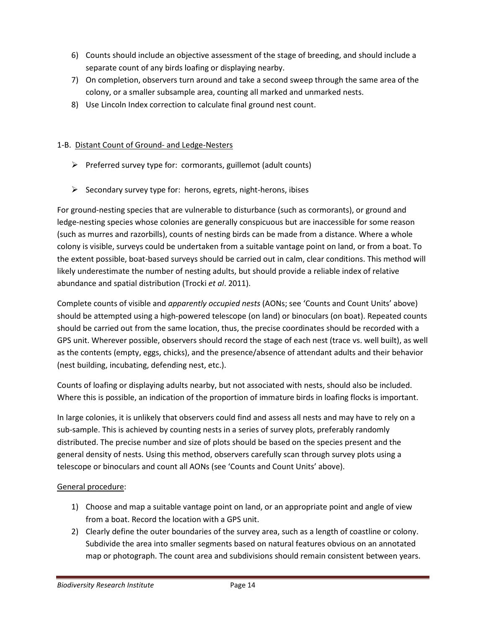- 6) Counts should include an objective assessment of the stage of breeding, and should include a separate count of any birds loafing or displaying nearby.
- 7) On completion, observers turn around and take a second sweep through the same area of the colony, or a smaller subsample area, counting all marked and unmarked nests.
- 8) Use Lincoln Index correction to calculate final ground nest count.

# 1-B. Distant Count of Ground- and Ledge-Nesters

- $\triangleright$  Preferred survey type for: cormorants, guillemot (adult counts)
- $\triangleright$  Secondary survey type for: herons, egrets, night-herons, ibises

For ground-nesting species that are vulnerable to disturbance (such as cormorants), or ground and ledge-nesting species whose colonies are generally conspicuous but are inaccessible for some reason (such as murres and razorbills), counts of nesting birds can be made from a distance. Where a whole colony is visible, surveys could be undertaken from a suitable vantage point on land, or from a boat. To the extent possible, boat-based surveys should be carried out in calm, clear conditions. This method will likely underestimate the number of nesting adults, but should provide a reliable index of relative abundance and spatial distribution (Trocki et al. 2011).

Complete counts of visible and apparently occupied nests (AONs; see 'Counts and Count Units' above) should be attempted using a high-powered telescope (on land) or binoculars (on boat). Repeated counts should be carried out from the same location, thus, the precise coordinates should be recorded with a GPS unit. Wherever possible, observers should record the stage of each nest (trace vs. well built), as well as the contents (empty, eggs, chicks), and the presence/absence of attendant adults and their behavior (nest building, incubating, defending nest, etc.).

Counts of loafing or displaying adults nearby, but not associated with nests, should also be included. Where this is possible, an indication of the proportion of immature birds in loafing flocks is important.

In large colonies, it is unlikely that observers could find and assess all nests and may have to rely on a sub-sample. This is achieved by counting nests in a series of survey plots, preferably randomly distributed. The precise number and size of plots should be based on the species present and the general density of nests. Using this method, observers carefully scan through survey plots using a telescope or binoculars and count all AONs (see 'Counts and Count Units' above).

- 1) Choose and map a suitable vantage point on land, or an appropriate point and angle of view from a boat. Record the location with a GPS unit.
- 2) Clearly define the outer boundaries of the survey area, such as a length of coastline or colony. Subdivide the area into smaller segments based on natural features obvious on an annotated map or photograph. The count area and subdivisions should remain consistent between years.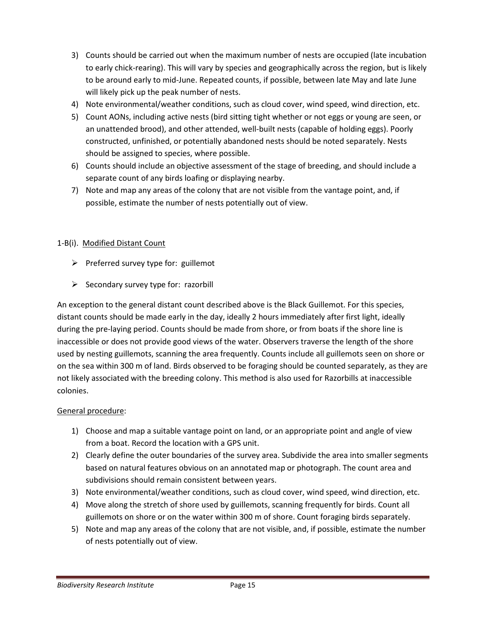- 3) Counts should be carried out when the maximum number of nests are occupied (late incubation to early chick-rearing). This will vary by species and geographically across the region, but is likely to be around early to mid-June. Repeated counts, if possible, between late May and late June will likely pick up the peak number of nests.
- 4) Note environmental/weather conditions, such as cloud cover, wind speed, wind direction, etc.
- 5) Count AONs, including active nests (bird sitting tight whether or not eggs or young are seen, or an unattended brood), and other attended, well-built nests (capable of holding eggs). Poorly constructed, unfinished, or potentially abandoned nests should be noted separately. Nests should be assigned to species, where possible.
- 6) Counts should include an objective assessment of the stage of breeding, and should include a separate count of any birds loafing or displaying nearby.
- 7) Note and map any areas of the colony that are not visible from the vantage point, and, if possible, estimate the number of nests potentially out of view.

# 1-B(i). Modified Distant Count

- $\triangleright$  Preferred survey type for: guillemot
- $\triangleright$  Secondary survey type for: razorbill

An exception to the general distant count described above is the Black Guillemot. For this species, distant counts should be made early in the day, ideally 2 hours immediately after first light, ideally during the pre-laying period. Counts should be made from shore, or from boats if the shore line is inaccessible or does not provide good views of the water. Observers traverse the length of the shore used by nesting guillemots, scanning the area frequently. Counts include all guillemots seen on shore or on the sea within 300 m of land. Birds observed to be foraging should be counted separately, as they are not likely associated with the breeding colony. This method is also used for Razorbills at inaccessible colonies.

- 1) Choose and map a suitable vantage point on land, or an appropriate point and angle of view from a boat. Record the location with a GPS unit.
- 2) Clearly define the outer boundaries of the survey area. Subdivide the area into smaller segments based on natural features obvious on an annotated map or photograph. The count area and subdivisions should remain consistent between years.
- 3) Note environmental/weather conditions, such as cloud cover, wind speed, wind direction, etc.
- 4) Move along the stretch of shore used by guillemots, scanning frequently for birds. Count all guillemots on shore or on the water within 300 m of shore. Count foraging birds separately.
- 5) Note and map any areas of the colony that are not visible, and, if possible, estimate the number of nests potentially out of view.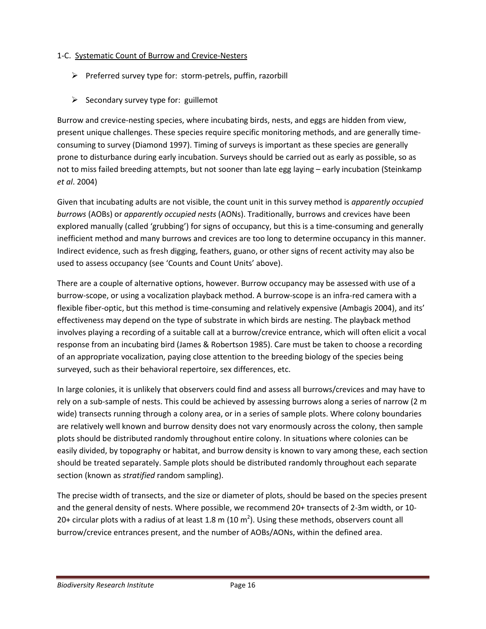# 1-C. Systematic Count of Burrow and Crevice-Nesters

- $\triangleright$  Preferred survey type for: storm-petrels, puffin, razorbill
- $\triangleright$  Secondary survey type for: guillemot

Burrow and crevice-nesting species, where incubating birds, nests, and eggs are hidden from view, present unique challenges. These species require specific monitoring methods, and are generally timeconsuming to survey (Diamond 1997). Timing of surveys is important as these species are generally prone to disturbance during early incubation. Surveys should be carried out as early as possible, so as not to miss failed breeding attempts, but not sooner than late egg laying – early incubation (Steinkamp et al. 2004)

Given that incubating adults are not visible, the count unit in this survey method is apparently occupied burrows (AOBs) or apparently occupied nests (AONs). Traditionally, burrows and crevices have been explored manually (called 'grubbing') for signs of occupancy, but this is a time-consuming and generally inefficient method and many burrows and crevices are too long to determine occupancy in this manner. Indirect evidence, such as fresh digging, feathers, guano, or other signs of recent activity may also be used to assess occupancy (see 'Counts and Count Units' above).

There are a couple of alternative options, however. Burrow occupancy may be assessed with use of a burrow-scope, or using a vocalization playback method. A burrow-scope is an infra-red camera with a flexible fiber-optic, but this method is time-consuming and relatively expensive (Ambagis 2004), and its' effectiveness may depend on the type of substrate in which birds are nesting. The playback method involves playing a recording of a suitable call at a burrow/crevice entrance, which will often elicit a vocal response from an incubating bird (James & Robertson 1985). Care must be taken to choose a recording of an appropriate vocalization, paying close attention to the breeding biology of the species being surveyed, such as their behavioral repertoire, sex differences, etc.

In large colonies, it is unlikely that observers could find and assess all burrows/crevices and may have to rely on a sub-sample of nests. This could be achieved by assessing burrows along a series of narrow (2 m wide) transects running through a colony area, or in a series of sample plots. Where colony boundaries are relatively well known and burrow density does not vary enormously across the colony, then sample plots should be distributed randomly throughout entire colony. In situations where colonies can be easily divided, by topography or habitat, and burrow density is known to vary among these, each section should be treated separately. Sample plots should be distributed randomly throughout each separate section (known as *stratified* random sampling).

The precise width of transects, and the size or diameter of plots, should be based on the species present and the general density of nests. Where possible, we recommend 20+ transects of 2-3m width, or 10- 20+ circular plots with a radius of at least 1.8 m (10 m<sup>2</sup>). Using these methods, observers count all burrow/crevice entrances present, and the number of AOBs/AONs, within the defined area.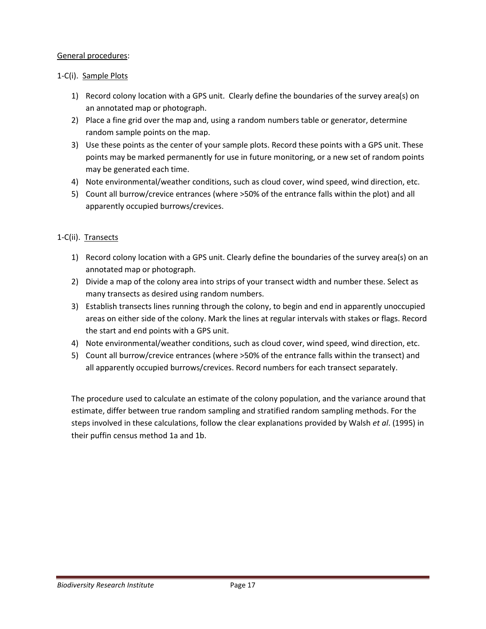# General procedures:

# 1-C(i). Sample Plots

- 1) Record colony location with a GPS unit. Clearly define the boundaries of the survey area(s) on an annotated map or photograph.
- 2) Place a fine grid over the map and, using a random numbers table or generator, determine random sample points on the map.
- 3) Use these points as the center of your sample plots. Record these points with a GPS unit. These points may be marked permanently for use in future monitoring, or a new set of random points may be generated each time.
- 4) Note environmental/weather conditions, such as cloud cover, wind speed, wind direction, etc.
- 5) Count all burrow/crevice entrances (where >50% of the entrance falls within the plot) and all apparently occupied burrows/crevices.

# 1-C(ii). Transects

- 1) Record colony location with a GPS unit. Clearly define the boundaries of the survey area(s) on an annotated map or photograph.
- 2) Divide a map of the colony area into strips of your transect width and number these. Select as many transects as desired using random numbers.
- 3) Establish transects lines running through the colony, to begin and end in apparently unoccupied areas on either side of the colony. Mark the lines at regular intervals with stakes or flags. Record the start and end points with a GPS unit.
- 4) Note environmental/weather conditions, such as cloud cover, wind speed, wind direction, etc.
- 5) Count all burrow/crevice entrances (where >50% of the entrance falls within the transect) and all apparently occupied burrows/crevices. Record numbers for each transect separately.

The procedure used to calculate an estimate of the colony population, and the variance around that estimate, differ between true random sampling and stratified random sampling methods. For the steps involved in these calculations, follow the clear explanations provided by Walsh et al. (1995) in their puffin census method 1a and 1b.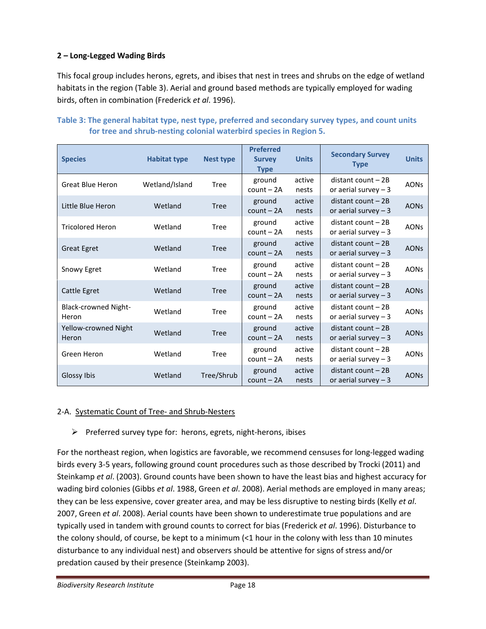# 2 – Long-Legged Wading Birds

This focal group includes herons, egrets, and ibises that nest in trees and shrubs on the edge of wetland habitats in the region (Table 3). Aerial and ground based methods are typically employed for wading birds, often in combination (Frederick et al. 1996).

| <b>Species</b>                       | <b>Habitat type</b> | <b>Nest type</b> | <b>Preferred</b><br><b>Survey</b><br><b>Type</b> | <b>Units</b>    | <b>Secondary Survey</b><br><b>Type</b>         | <b>Units</b> |
|--------------------------------------|---------------------|------------------|--------------------------------------------------|-----------------|------------------------------------------------|--------------|
| <b>Great Blue Heron</b>              | Wetland/Island      | Tree             | ground<br>$count - 2A$                           | active<br>nests | $distant$ count $-2B$<br>or aerial survey $-3$ | <b>AONs</b>  |
| Little Blue Heron                    | Wetland             | <b>Tree</b>      | ground<br>$count - 2A$                           | active<br>nests | $distant$ count $-2B$<br>or aerial survey $-3$ | <b>AONs</b>  |
| <b>Tricolored Heron</b>              | Wetland             | Tree             | ground<br>$count - 2A$                           | active<br>nests | $distant$ count $-2B$<br>or aerial survey $-3$ | <b>AONs</b>  |
| <b>Great Egret</b>                   | Wetland             | Tree             | ground<br>$count - 2A$                           | active<br>nests | distant count - 2B<br>or aerial survey $-3$    | <b>AONs</b>  |
| Snowy Egret                          | Wetland             | Tree             | ground<br>$count - 2A$                           | active<br>nests | $distant$ count $-2B$<br>or aerial survey $-3$ | <b>AONs</b>  |
| Cattle Egret                         | Wetland             | Tree             | ground<br>$count - 2A$                           | active<br>nests | distant count - 2B<br>or aerial survey $-3$    | <b>AONs</b>  |
| <b>Black-crowned Night-</b><br>Heron | Wetland             | Tree             | ground<br>$count - 2A$                           | active<br>nests | $distant$ count $-2B$<br>or aerial survey $-3$ | <b>AONs</b>  |
| Yellow-crowned Night<br>Heron        | Wetland             | <b>Tree</b>      | ground<br>$count - 2A$                           | active<br>nests | $distant$ count $-2B$<br>or aerial survey $-3$ | <b>AONs</b>  |
| Green Heron                          | Wetland             | Tree             | ground<br>$count - 2A$                           | active<br>nests | $distant$ count $-2B$<br>or aerial survey $-3$ | <b>AONs</b>  |
| Glossy Ibis                          | Wetland             | Tree/Shrub       | ground<br>$count - 2A$                           | active<br>nests | distant count $-2B$<br>or aerial survey $-3$   | <b>AONs</b>  |

# Table 3: The general habitat type, nest type, preferred and secondary survey types, and count units for tree and shrub-nesting colonial waterbird species in Region 5.

# 2-A. Systematic Count of Tree- and Shrub-Nesters

 $\triangleright$  Preferred survey type for: herons, egrets, night-herons, ibises

For the northeast region, when logistics are favorable, we recommend censuses for long-legged wading birds every 3-5 years, following ground count procedures such as those described by Trocki (2011) and Steinkamp et al. (2003). Ground counts have been shown to have the least bias and highest accuracy for wading bird colonies (Gibbs et al. 1988, Green et al. 2008). Aerial methods are employed in many areas; they can be less expensive, cover greater area, and may be less disruptive to nesting birds (Kelly et al. 2007, Green et al. 2008). Aerial counts have been shown to underestimate true populations and are typically used in tandem with ground counts to correct for bias (Frederick et al. 1996). Disturbance to the colony should, of course, be kept to a minimum (<1 hour in the colony with less than 10 minutes disturbance to any individual nest) and observers should be attentive for signs of stress and/or predation caused by their presence (Steinkamp 2003).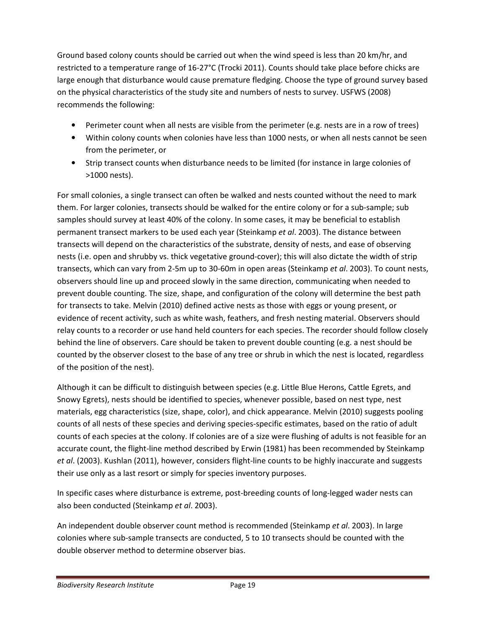Ground based colony counts should be carried out when the wind speed is less than 20 km/hr, and restricted to a temperature range of 16-27°C (Trocki 2011). Counts should take place before chicks are large enough that disturbance would cause premature fledging. Choose the type of ground survey based on the physical characteristics of the study site and numbers of nests to survey. USFWS (2008) recommends the following:

- Perimeter count when all nests are visible from the perimeter (e.g. nests are in a row of trees)
- Within colony counts when colonies have less than 1000 nests, or when all nests cannot be seen from the perimeter, or
- Strip transect counts when disturbance needs to be limited (for instance in large colonies of >1000 nests).

For small colonies, a single transect can often be walked and nests counted without the need to mark them. For larger colonies, transects should be walked for the entire colony or for a sub-sample; sub samples should survey at least 40% of the colony. In some cases, it may be beneficial to establish permanent transect markers to be used each year (Steinkamp et al. 2003). The distance between transects will depend on the characteristics of the substrate, density of nests, and ease of observing nests (i.e. open and shrubby vs. thick vegetative ground-cover); this will also dictate the width of strip transects, which can vary from 2-5m up to 30-60m in open areas (Steinkamp et al. 2003). To count nests, observers should line up and proceed slowly in the same direction, communicating when needed to prevent double counting. The size, shape, and configuration of the colony will determine the best path for transects to take. Melvin (2010) defined active nests as those with eggs or young present, or evidence of recent activity, such as white wash, feathers, and fresh nesting material. Observers should relay counts to a recorder or use hand held counters for each species. The recorder should follow closely behind the line of observers. Care should be taken to prevent double counting (e.g. a nest should be counted by the observer closest to the base of any tree or shrub in which the nest is located, regardless of the position of the nest).

Although it can be difficult to distinguish between species (e.g. Little Blue Herons, Cattle Egrets, and Snowy Egrets), nests should be identified to species, whenever possible, based on nest type, nest materials, egg characteristics (size, shape, color), and chick appearance. Melvin (2010) suggests pooling counts of all nests of these species and deriving species-specific estimates, based on the ratio of adult counts of each species at the colony. If colonies are of a size were flushing of adults is not feasible for an accurate count, the flight-line method described by Erwin (1981) has been recommended by Steinkamp et al. (2003). Kushlan (2011), however, considers flight-line counts to be highly inaccurate and suggests their use only as a last resort or simply for species inventory purposes.

In specific cases where disturbance is extreme, post-breeding counts of long-legged wader nests can also been conducted (Steinkamp et al. 2003).

An independent double observer count method is recommended (Steinkamp et al. 2003). In large colonies where sub-sample transects are conducted, 5 to 10 transects should be counted with the double observer method to determine observer bias.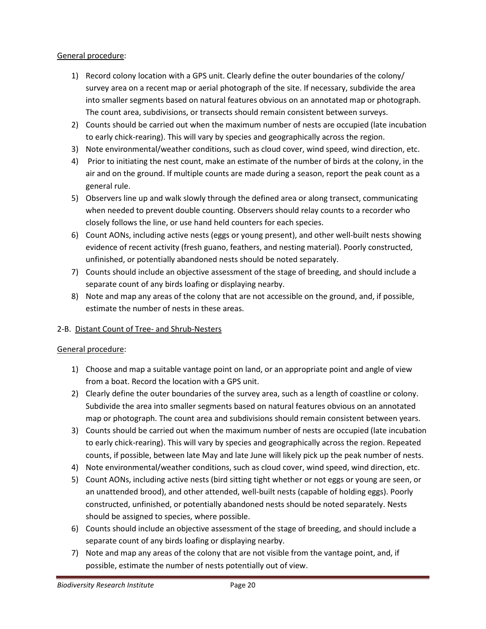# General procedure:

- 1) Record colony location with a GPS unit. Clearly define the outer boundaries of the colony/ survey area on a recent map or aerial photograph of the site. If necessary, subdivide the area into smaller segments based on natural features obvious on an annotated map or photograph. The count area, subdivisions, or transects should remain consistent between surveys.
- 2) Counts should be carried out when the maximum number of nests are occupied (late incubation to early chick-rearing). This will vary by species and geographically across the region.
- 3) Note environmental/weather conditions, such as cloud cover, wind speed, wind direction, etc.
- 4) Prior to initiating the nest count, make an estimate of the number of birds at the colony, in the air and on the ground. If multiple counts are made during a season, report the peak count as a general rule.
- 5) Observers line up and walk slowly through the defined area or along transect, communicating when needed to prevent double counting. Observers should relay counts to a recorder who closely follows the line, or use hand held counters for each species.
- 6) Count AONs, including active nests (eggs or young present), and other well-built nests showing evidence of recent activity (fresh guano, feathers, and nesting material). Poorly constructed, unfinished, or potentially abandoned nests should be noted separately.
- 7) Counts should include an objective assessment of the stage of breeding, and should include a separate count of any birds loafing or displaying nearby.
- 8) Note and map any areas of the colony that are not accessible on the ground, and, if possible, estimate the number of nests in these areas.

# 2-B. Distant Count of Tree- and Shrub-Nesters

- 1) Choose and map a suitable vantage point on land, or an appropriate point and angle of view from a boat. Record the location with a GPS unit.
- 2) Clearly define the outer boundaries of the survey area, such as a length of coastline or colony. Subdivide the area into smaller segments based on natural features obvious on an annotated map or photograph. The count area and subdivisions should remain consistent between years.
- 3) Counts should be carried out when the maximum number of nests are occupied (late incubation to early chick-rearing). This will vary by species and geographically across the region. Repeated counts, if possible, between late May and late June will likely pick up the peak number of nests.
- 4) Note environmental/weather conditions, such as cloud cover, wind speed, wind direction, etc.
- 5) Count AONs, including active nests (bird sitting tight whether or not eggs or young are seen, or an unattended brood), and other attended, well-built nests (capable of holding eggs). Poorly constructed, unfinished, or potentially abandoned nests should be noted separately. Nests should be assigned to species, where possible.
- 6) Counts should include an objective assessment of the stage of breeding, and should include a separate count of any birds loafing or displaying nearby.
- 7) Note and map any areas of the colony that are not visible from the vantage point, and, if possible, estimate the number of nests potentially out of view.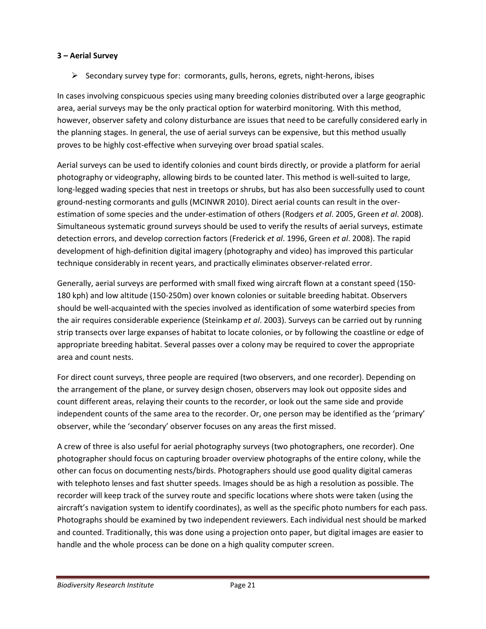# 3 – Aerial Survey

 $\triangleright$  Secondary survey type for: cormorants, gulls, herons, egrets, night-herons, ibises

In cases involving conspicuous species using many breeding colonies distributed over a large geographic area, aerial surveys may be the only practical option for waterbird monitoring. With this method, however, observer safety and colony disturbance are issues that need to be carefully considered early in the planning stages. In general, the use of aerial surveys can be expensive, but this method usually proves to be highly cost-effective when surveying over broad spatial scales.

Aerial surveys can be used to identify colonies and count birds directly, or provide a platform for aerial photography or videography, allowing birds to be counted later. This method is well-suited to large, long-legged wading species that nest in treetops or shrubs, but has also been successfully used to count ground-nesting cormorants and gulls (MCINWR 2010). Direct aerial counts can result in the overestimation of some species and the under-estimation of others (Rodgers et al. 2005, Green et al. 2008). Simultaneous systematic ground surveys should be used to verify the results of aerial surveys, estimate detection errors, and develop correction factors (Frederick et al. 1996, Green et al. 2008). The rapid development of high-definition digital imagery (photography and video) has improved this particular technique considerably in recent years, and practically eliminates observer-related error.

Generally, aerial surveys are performed with small fixed wing aircraft flown at a constant speed (150- 180 kph) and low altitude (150-250m) over known colonies or suitable breeding habitat. Observers should be well-acquainted with the species involved as identification of some waterbird species from the air requires considerable experience (Steinkamp et al. 2003). Surveys can be carried out by running strip transects over large expanses of habitat to locate colonies, or by following the coastline or edge of appropriate breeding habitat. Several passes over a colony may be required to cover the appropriate area and count nests.

For direct count surveys, three people are required (two observers, and one recorder). Depending on the arrangement of the plane, or survey design chosen, observers may look out opposite sides and count different areas, relaying their counts to the recorder, or look out the same side and provide independent counts of the same area to the recorder. Or, one person may be identified as the 'primary' observer, while the 'secondary' observer focuses on any areas the first missed.

A crew of three is also useful for aerial photography surveys (two photographers, one recorder). One photographer should focus on capturing broader overview photographs of the entire colony, while the other can focus on documenting nests/birds. Photographers should use good quality digital cameras with telephoto lenses and fast shutter speeds. Images should be as high a resolution as possible. The recorder will keep track of the survey route and specific locations where shots were taken (using the aircraft's navigation system to identify coordinates), as well as the specific photo numbers for each pass. Photographs should be examined by two independent reviewers. Each individual nest should be marked and counted. Traditionally, this was done using a projection onto paper, but digital images are easier to handle and the whole process can be done on a high quality computer screen.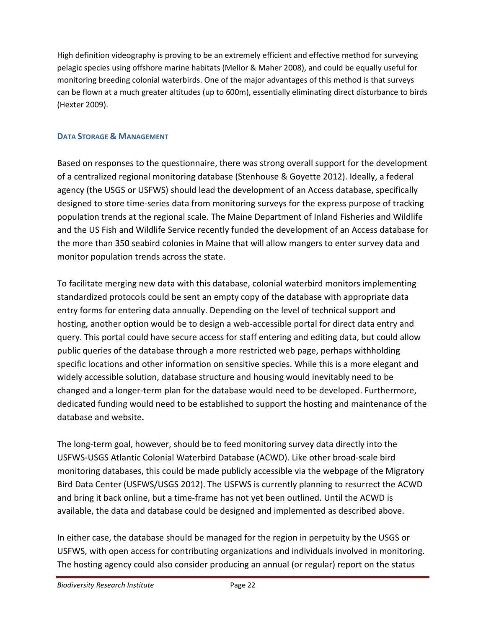High definition videography is proving to be an extremely efficient and effective method for surveying pelagic species using offshore marine habitats (Mellor & Maher 2008), and could be equally useful for monitoring breeding colonial waterbirds. One of the major advantages of this method is that surveys can be flown at a much greater altitudes (up to 600m), essentially eliminating direct disturbance to birds (Hexter 2009).

# DATA STORAGE & MANAGEMENT

Based on responses to the questionnaire, there was strong overall support for the development of a centralized regional monitoring database (Stenhouse & Goyette 2012). Ideally, a federal agency (the USGS or USFWS) should lead the development of an Access database, specifically designed to store time-series data from monitoring surveys for the express purpose of tracking population trends at the regional scale. The Maine Department of Inland Fisheries and Wildlife and the US Fish and Wildlife Service recently funded the development of an Access database for the more than 350 seabird colonies in Maine that will allow mangers to enter survey data and monitor population trends across the state.

To facilitate merging new data with this database, colonial waterbird monitors implementing standardized protocols could be sent an empty copy of the database with appropriate data entry forms for entering data annually. Depending on the level of technical support and hosting, another option would be to design a web-accessible portal for direct data entry and query. This portal could have secure access for staff entering and editing data, but could allow public queries of the database through a more restricted web page, perhaps withholding specific locations and other information on sensitive species. While this is a more elegant and widely accessible solution, database structure and housing would inevitably need to be changed and a longer-term plan for the database would need to be developed. Furthermore, dedicated funding would need to be established to support the hosting and maintenance of the database and website.

The long-term goal, however, should be to feed monitoring survey data directly into the USFWS-USGS Atlantic Colonial Waterbird Database (ACWD). Like other broad-scale bird monitoring databases, this could be made publicly accessible via the webpage of the Migratory Bird Data Center (USFWS/USGS 2012). The USFWS is currently planning to resurrect the ACWD and bring it back online, but a time-frame has not yet been outlined. Until the ACWD is available, the data and database could be designed and implemented as described above.

In either case, the database should be managed for the region in perpetuity by the USGS or USFWS, with open access for contributing organizations and individuals involved in monitoring. The hosting agency could also consider producing an annual (or regular) report on the status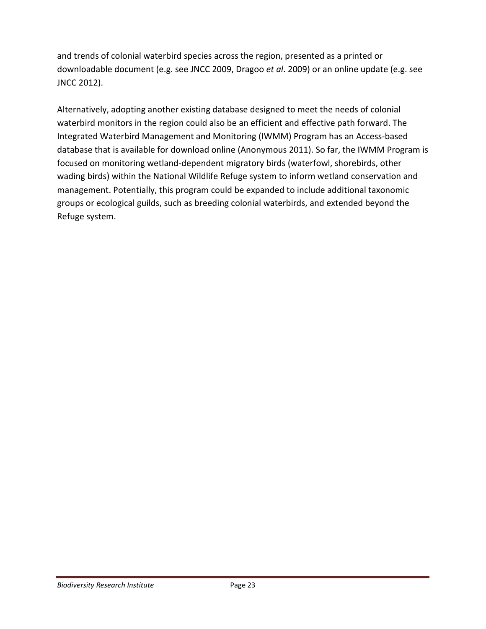and trends of colonial waterbird species across the region, presented as a printed or downloadable document (e.g. see JNCC 2009, Dragoo et al. 2009) or an online update (e.g. see JNCC 2012).

Alternatively, adopting another existing database designed to meet the needs of colonial waterbird monitors in the region could also be an efficient and effective path forward. The Integrated Waterbird Management and Monitoring (IWMM) Program has an Access-based database that is available for download online (Anonymous 2011). So far, the IWMM Program is focused on monitoring wetland-dependent migratory birds (waterfowl, shorebirds, other wading birds) within the National Wildlife Refuge system to inform wetland conservation and management. Potentially, this program could be expanded to include additional taxonomic groups or ecological guilds, such as breeding colonial waterbirds, and extended beyond the Refuge system.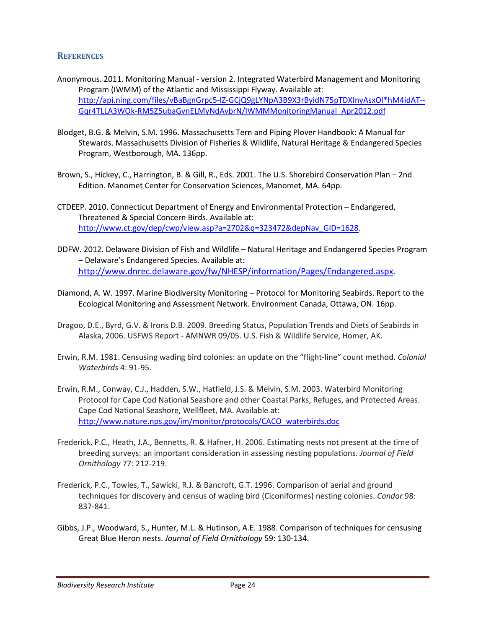## **REFERENCES**

- Anonymous. 2011. Monitoring Manual version 2. Integrated Waterbird Management and Monitoring Program (IWMM) of the Atlantic and Mississippi Flyway. Available at: http://api.ning.com/files/vBaBgnGrpc5-lZ-GCjQ9gLYNpA3B9X3rByidN75pTDXInyAsxOl\*hM4idAT-- Gqr4TLLA3WOk-RM5Z5ubaGvnELMyNdAvbrN/IWMMMonitoringManual\_Apr2012.pdf
- Blodget, B.G. & Melvin, S.M. 1996. Massachusetts Tern and Piping Plover Handbook: A Manual for Stewards. Massachusetts Division of Fisheries & Wildlife, Natural Heritage & Endangered Species Program, Westborough, MA. 136pp.
- Brown, S., Hickey, C., Harrington, B. & Gill, R., Eds. 2001. The U.S. Shorebird Conservation Plan 2nd Edition. Manomet Center for Conservation Sciences, Manomet, MA. 64pp.
- CTDEEP. 2010. Connecticut Department of Energy and Environmental Protection Endangered, Threatened & Special Concern Birds. Available at: http://www.ct.gov/dep/cwp/view.asp?a=2702&q=323472&depNav\_GID=1628.
- DDFW. 2012. Delaware Division of Fish and Wildlife Natural Heritage and Endangered Species Program – Delaware's Endangered Species. Available at: http://www.dnrec.delaware.gov/fw/NHESP/information/Pages/Endangered.aspx.
- Diamond, A. W. 1997. Marine Biodiversity Monitoring Protocol for Monitoring Seabirds. Report to the Ecological Monitoring and Assessment Network. Environment Canada, Ottawa, ON. 16pp.
- Dragoo, D.E., Byrd, G.V. & Irons D.B. 2009. Breeding Status, Population Trends and Diets of Seabirds in Alaska, 2006. USFWS Report - AMNWR 09/05. U.S. Fish & Wildlife Service, Homer, AK.
- Erwin, R.M. 1981. Censusing wading bird colonies: an update on the "flight-line" count method. Colonial Waterbirds 4: 91-95.
- Erwin, R.M., Conway, C.J., Hadden, S.W., Hatfield, J.S. & Melvin, S.M. 2003. Waterbird Monitoring Protocol for Cape Cod National Seashore and other Coastal Parks, Refuges, and Protected Areas. Cape Cod National Seashore, Wellfleet, MA. Available at: http://www.nature.nps.gov/im/monitor/protocols/CACO\_waterbirds.doc
- Frederick, P.C., Heath, J.A., Bennetts, R. & Hafner, H. 2006. Estimating nests not present at the time of breeding surveys: an important consideration in assessing nesting populations. Journal of Field Ornithology 77: 212-219.
- Frederick, P.C., Towles, T., Sawicki, R.J. & Bancroft, G.T. 1996. Comparison of aerial and ground techniques for discovery and census of wading bird (Ciconiformes) nesting colonies. Condor 98: 837-841.
- Gibbs, J.P., Woodward, S., Hunter, M.L. & Hutinson, A.E. 1988. Comparison of techniques for censusing Great Blue Heron nests. Journal of Field Ornithology 59: 130-134.

Biodiversity Research Institute **Page 24** Page 24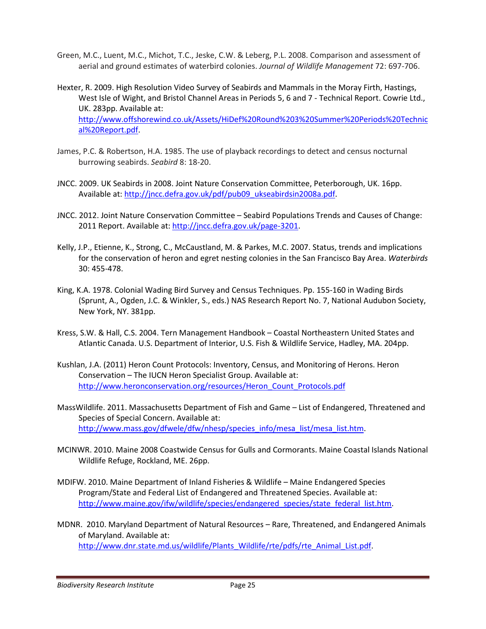- Green, M.C., Luent, M.C., Michot, T.C., Jeske, C.W. & Leberg, P.L. 2008. Comparison and assessment of aerial and ground estimates of waterbird colonies. Journal of Wildlife Management 72: 697-706.
- Hexter, R. 2009. High Resolution Video Survey of Seabirds and Mammals in the Moray Firth, Hastings, West Isle of Wight, and Bristol Channel Areas in Periods 5, 6 and 7 - Technical Report. Cowrie Ltd., UK. 283pp. Available at: http://www.offshorewind.co.uk/Assets/HiDef%20Round%203%20Summer%20Periods%20Technic al%20Report.pdf.
- James, P.C. & Robertson, H.A. 1985. The use of playback recordings to detect and census nocturnal burrowing seabirds. Seabird 8: 18-20.
- JNCC. 2009. UK Seabirds in 2008. Joint Nature Conservation Committee, Peterborough, UK. 16pp. Available at: http://jncc.defra.gov.uk/pdf/pub09\_ukseabirdsin2008a.pdf.
- JNCC. 2012. Joint Nature Conservation Committee Seabird Populations Trends and Causes of Change: 2011 Report. Available at: http://jncc.defra.gov.uk/page-3201.
- Kelly, J.P., Etienne, K., Strong, C., McCaustland, M. & Parkes, M.C. 2007. Status, trends and implications for the conservation of heron and egret nesting colonies in the San Francisco Bay Area. Waterbirds 30: 455-478.
- King, K.A. 1978. Colonial Wading Bird Survey and Census Techniques. Pp. 155-160 in Wading Birds (Sprunt, A., Ogden, J.C. & Winkler, S., eds.) NAS Research Report No. 7, National Audubon Society, New York, NY. 381pp.
- Kress, S.W. & Hall, C.S. 2004. Tern Management Handbook Coastal Northeastern United States and Atlantic Canada. U.S. Department of Interior, U.S. Fish & Wildlife Service, Hadley, MA. 204pp.
- Kushlan, J.A. (2011) Heron Count Protocols: Inventory, Census, and Monitoring of Herons. Heron Conservation – The IUCN Heron Specialist Group. Available at: http://www.heronconservation.org/resources/Heron\_Count\_Protocols.pdf
- MassWildlife. 2011. Massachusetts Department of Fish and Game List of Endangered, Threatened and Species of Special Concern. Available at: http://www.mass.gov/dfwele/dfw/nhesp/species\_info/mesa\_list/mesa\_list.htm.
- MCINWR. 2010. Maine 2008 Coastwide Census for Gulls and Cormorants. Maine Coastal Islands National Wildlife Refuge, Rockland, ME. 26pp.
- MDIFW. 2010. Maine Department of Inland Fisheries & Wildlife Maine Endangered Species Program/State and Federal List of Endangered and Threatened Species. Available at: http://www.maine.gov/ifw/wildlife/species/endangered\_species/state\_federal\_list.htm.
- MDNR. 2010. Maryland Department of Natural Resources Rare, Threatened, and Endangered Animals of Maryland. Available at: http://www.dnr.state.md.us/wildlife/Plants\_Wildlife/rte/pdfs/rte\_Animal\_List.pdf.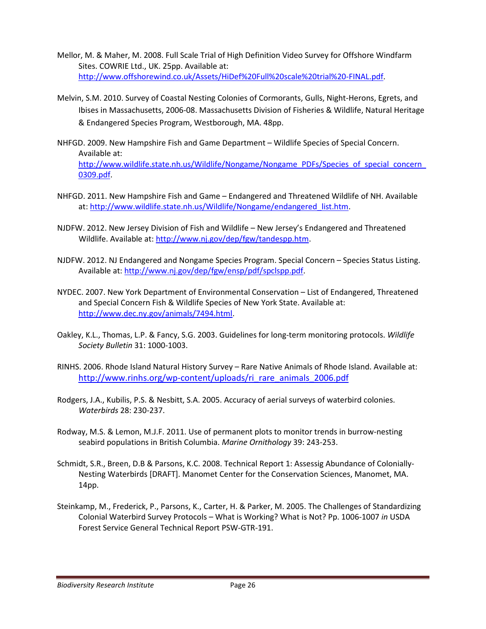- Mellor, M. & Maher, M. 2008. Full Scale Trial of High Definition Video Survey for Offshore Windfarm Sites. COWRIE Ltd., UK. 25pp. Available at: http://www.offshorewind.co.uk/Assets/HiDef%20Full%20scale%20trial%20-FINAL.pdf.
- Melvin, S.M. 2010. Survey of Coastal Nesting Colonies of Cormorants, Gulls, Night-Herons, Egrets, and Ibises in Massachusetts, 2006-08. Massachusetts Division of Fisheries & Wildlife, Natural Heritage & Endangered Species Program, Westborough, MA. 48pp.
- NHFGD. 2009. New Hampshire Fish and Game Department Wildlife Species of Special Concern. Available at: http://www.wildlife.state.nh.us/Wildlife/Nongame/Nongame\_PDFs/Species\_of\_special\_concern 0309.pdf.
- NHFGD. 2011. New Hampshire Fish and Game Endangered and Threatened Wildlife of NH. Available at: http://www.wildlife.state.nh.us/Wildlife/Nongame/endangered\_list.htm.
- NJDFW. 2012. New Jersey Division of Fish and Wildlife New Jersey's Endangered and Threatened Wildlife. Available at: http://www.nj.gov/dep/fgw/tandespp.htm.
- NJDFW. 2012. NJ Endangered and Nongame Species Program. Special Concern Species Status Listing. Available at: http://www.nj.gov/dep/fgw/ensp/pdf/spclspp.pdf.
- NYDEC. 2007. New York Department of Environmental Conservation List of Endangered, Threatened and Special Concern Fish & Wildlife Species of New York State. Available at: http://www.dec.ny.gov/animals/7494.html.
- Oakley, K.L., Thomas, L.P. & Fancy, S.G. 2003. Guidelines for long-term monitoring protocols. Wildlife Society Bulletin 31: 1000-1003.
- RINHS. 2006. Rhode Island Natural History Survey Rare Native Animals of Rhode Island. Available at: http://www.rinhs.org/wp-content/uploads/ri\_rare\_animals\_2006.pdf
- Rodgers, J.A., Kubilis, P.S. & Nesbitt, S.A. 2005. Accuracy of aerial surveys of waterbird colonies. Waterbirds 28: 230-237.
- Rodway, M.S. & Lemon, M.J.F. 2011. Use of permanent plots to monitor trends in burrow-nesting seabird populations in British Columbia. Marine Ornithology 39: 243-253.
- Schmidt, S.R., Breen, D.B & Parsons, K.C. 2008. Technical Report 1: Assessig Abundance of Colonially-Nesting Waterbirds [DRAFT]. Manomet Center for the Conservation Sciences, Manomet, MA. 14pp.
- Steinkamp, M., Frederick, P., Parsons, K., Carter, H. & Parker, M. 2005. The Challenges of Standardizing Colonial Waterbird Survey Protocols – What is Working? What is Not? Pp. 1006-1007 in USDA Forest Service General Technical Report PSW-GTR-191.